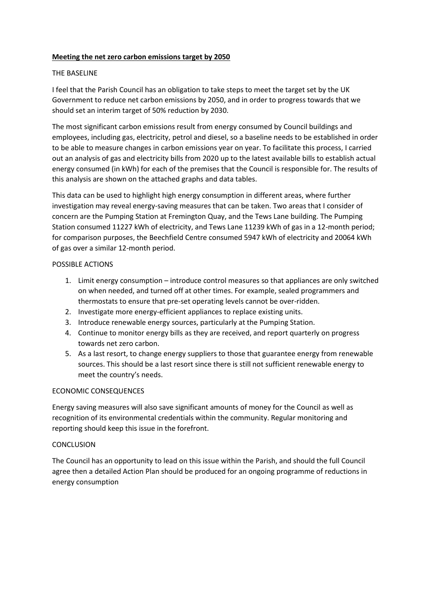#### **Meeting the net zero carbon emissions target by 2050**

#### THE BASELINE

I feel that the Parish Council has an obligation to take steps to meet the target set by the UK Government to reduce net carbon emissions by 2050, and in order to progress towards that we should set an interim target of 50% reduction by 2030.

The most significant carbon emissions result from energy consumed by Council buildings and employees, including gas, electricity, petrol and diesel, so a baseline needs to be established in order to be able to measure changes in carbon emissions year on year. To facilitate this process, I carried out an analysis of gas and electricity bills from 2020 up to the latest available bills to establish actual energy consumed (in kWh) for each of the premises that the Council is responsible for. The results of this analysis are shown on the attached graphs and data tables.

This data can be used to highlight high energy consumption in different areas, where further investigation may reveal energy-saving measures that can be taken. Two areas that I consider of concern are the Pumping Station at Fremington Quay, and the Tews Lane building. The Pumping Station consumed 11227 kWh of electricity, and Tews Lane 11239 kWh of gas in a 12-month period; for comparison purposes, the Beechfield Centre consumed 5947 kWh of electricity and 20064 kWh of gas over a similar 12-month period.

### POSSIBLE ACTIONS

- 1. Limit energy consumption introduce control measures so that appliances are only switched on when needed, and turned off at other times. For example, sealed programmers and thermostats to ensure that pre-set operating levels cannot be over-ridden.
- 2. Investigate more energy-efficient appliances to replace existing units.
- 3. Introduce renewable energy sources, particularly at the Pumping Station.
- 4. Continue to monitor energy bills as they are received, and report quarterly on progress towards net zero carbon.
- 5. As a last resort, to change energy suppliers to those that guarantee energy from renewable sources. This should be a last resort since there is still not sufficient renewable energy to meet the country's needs.

#### ECONOMIC CONSEQUENCES

Energy saving measures will also save significant amounts of money for the Council as well as recognition of its environmental credentials within the community. Regular monitoring and reporting should keep this issue in the forefront.

#### **CONCLUSION**

The Council has an opportunity to lead on this issue within the Parish, and should the full Council agree then a detailed Action Plan should be produced for an ongoing programme of reductions in energy consumption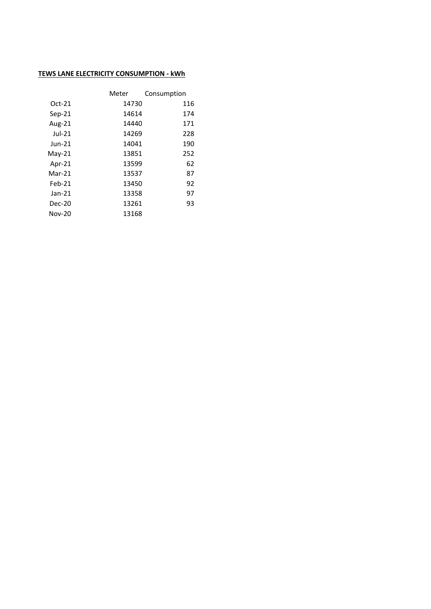### **TEWS LANE ELECTRICITY CONSUMPTION - kWh**

|           | Meter | Consumption |
|-----------|-------|-------------|
| $Oct-21$  | 14730 | 116         |
| $Sep-21$  | 14614 | 174         |
| Aug-21    | 14440 | 171         |
| $Jul-21$  | 14269 | 228         |
| Jun-21    | 14041 | 190         |
| $May-21$  | 13851 | 252         |
| Apr- $21$ | 13599 | 62          |
| $Mar-21$  | 13537 | 87          |
| $Feb-21$  | 13450 | 92          |
| $Jan-21$  | 13358 | 97          |
| Dec-20    | 13261 | 93          |
| Nov-20    | 13168 |             |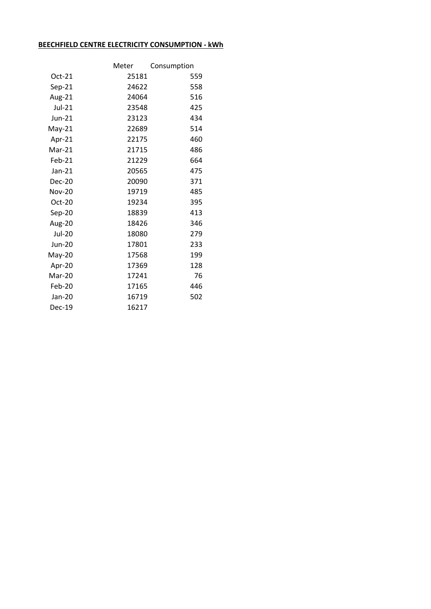## **BEECHFIELD CENTRE ELECTRICITY CONSUMPTION - kWh**

|               | Meter | Consumption |
|---------------|-------|-------------|
| $Oct-21$      | 25181 | 559         |
| $Sep-21$      | 24622 | 558         |
| Aug-21        | 24064 | 516         |
| Jul-21        | 23548 | 425         |
| Jun-21        | 23123 | 434         |
| $May-21$      | 22689 | 514         |
| Apr-21        | 22175 | 460         |
| $Mar-21$      | 21715 | 486         |
| Feb-21        | 21229 | 664         |
| Jan-21        | 20565 | 475         |
| Dec-20        | 20090 | 371         |
| <b>Nov-20</b> | 19719 | 485         |
| Oct-20        | 19234 | 395         |
| Sep-20        | 18839 | 413         |
| Aug-20        | 18426 | 346         |
| <b>Jul-20</b> | 18080 | 279         |
| <b>Jun-20</b> | 17801 | 233         |
| $May-20$      | 17568 | 199         |
| Apr-20        | 17369 | 128         |
| Mar-20        | 17241 | 76          |
| Feb-20        | 17165 | 446         |
| Jan-20        | 16719 | 502         |
| <b>Dec-19</b> | 16217 |             |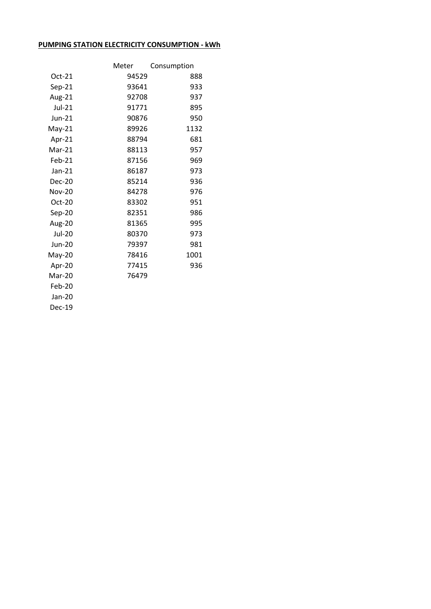# **PUMPING STATION ELECTRICITY CONSUMPTION - kWh**

|               | Meter | Consumption |
|---------------|-------|-------------|
| $Oct-21$      | 94529 | 888         |
| $Sep-21$      | 93641 | 933         |
| Aug-21        | 92708 | 937         |
| Jul-21        | 91771 | 895         |
| $Jun-21$      | 90876 | 950         |
| $May-21$      | 89926 | 1132        |
| Apr-21        | 88794 | 681         |
| $Mar-21$      | 88113 | 957         |
| Feb-21        | 87156 | 969         |
| Jan-21        | 86187 | 973         |
| Dec-20        | 85214 | 936         |
| <b>Nov-20</b> | 84278 | 976         |
| $Oct-20$      | 83302 | 951         |
| Sep-20        | 82351 | 986         |
| Aug-20        | 81365 | 995         |
| <b>Jul-20</b> | 80370 | 973         |
| <b>Jun-20</b> | 79397 | 981         |
| May-20        | 78416 | 1001        |
| Apr-20        | 77415 | 936         |
| Mar-20        | 76479 |             |
| Feb-20        |       |             |
| Jan-20        |       |             |
| Dec-19        |       |             |
|               |       |             |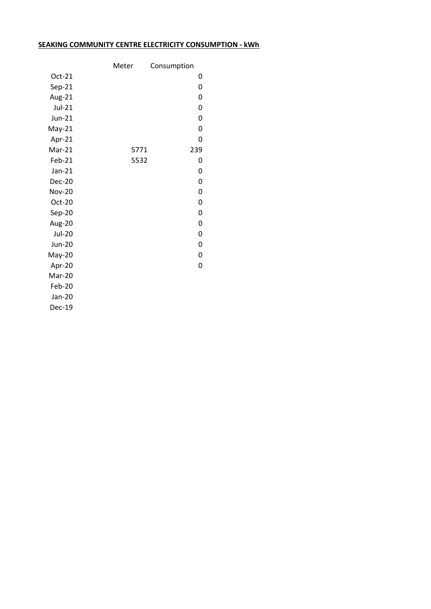## **SEAKING COMMUNITY CENTRE ELECTRICITY CONSUMPTION - kWh**

|               | Meter | Consumption |     |
|---------------|-------|-------------|-----|
| Oct-21        |       |             | 0   |
| Sep-21        |       |             | 0   |
| Aug-21        |       |             | 0   |
| Jul-21        |       |             | 0   |
| $Jun-21$      |       |             | 0   |
| $May-21$      |       |             | 0   |
| Apr-21        |       |             | 0   |
| Mar-21        |       | 5771        | 239 |
| Feb-21        |       | 5532        | 0   |
| $Jan-21$      |       |             | 0   |
| Dec-20        |       |             | 0   |
| <b>Nov-20</b> |       |             | 0   |
| Oct-20        |       |             | 0   |
| Sep-20        |       |             | 0   |
| Aug-20        |       |             | 0   |
| <b>Jul-20</b> |       |             | 0   |
| <b>Jun-20</b> |       |             | 0   |
| May-20        |       |             | 0   |
| Apr-20        |       |             | 0   |
| Mar-20        |       |             |     |
| Feb-20        |       |             |     |
| Jan-20        |       |             |     |
| Dec-19        |       |             |     |
|               |       |             |     |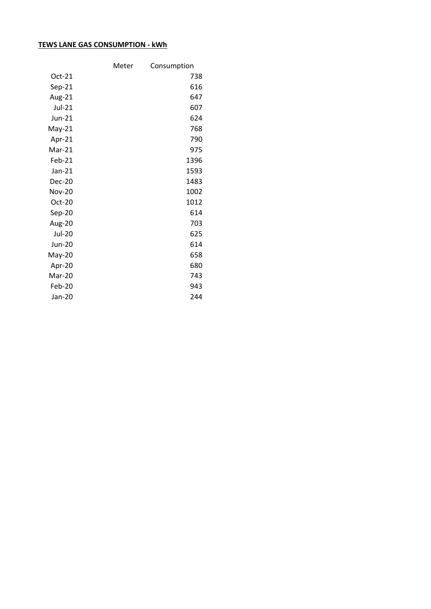## **TEWS LANE GAS CONSUMPTION - kWh**

|               | Meter | Consumption |
|---------------|-------|-------------|
| $Oct-21$      |       | 738         |
| $Sep-21$      |       | 616         |
| Aug-21        |       | 647         |
| Jul-21        |       | 607         |
| Jun-21        |       | 624         |
| $May-21$      |       | 768         |
| Apr-21        |       | 790         |
| Mar-21        |       | 975         |
| Feb-21        |       | 1396        |
| Jan-21        |       | 1593        |
| Dec-20        |       | 1483        |
| <b>Nov-20</b> |       | 1002        |
| Oct-20        |       | 1012        |
| Sep-20        |       | 614         |
| Aug-20        |       | 703         |
| <b>Jul-20</b> |       | 625         |
| Jun-20        |       | 614         |
| May-20        |       | 658         |
| Apr-20        |       | 680         |
| Mar-20        |       | 743         |
| Feb-20        |       | 943         |
| Jan-20        |       | 244         |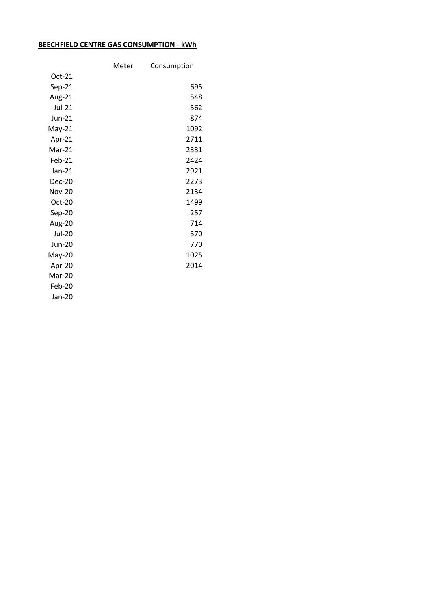# **BEECHFIELD CENTRE GAS CONSUMPTION - kWh**

|               | Meter | Consumption |
|---------------|-------|-------------|
| $Oct-21$      |       |             |
| $Sep-21$      |       | 695         |
| Aug-21        |       | 548         |
| Jul-21        |       | 562         |
| Jun-21        |       | 874         |
| $May-21$      |       | 1092        |
| Apr-21        |       | 2711        |
| Mar-21        |       | 2331        |
| Feb-21        |       | 2424        |
| Jan-21        |       | 2921        |
| Dec-20        |       | 2273        |
| <b>Nov-20</b> |       | 2134        |
| Oct-20        |       | 1499        |
| Sep-20        |       | 257         |
| Aug-20        |       | 714         |
| <b>Jul-20</b> |       | 570         |
| <b>Jun-20</b> |       | 770         |
| May-20        |       | 1025        |
| Apr-20        |       | 2014        |
| Mar-20        |       |             |
| Feb-20        |       |             |
| Jan-20        |       |             |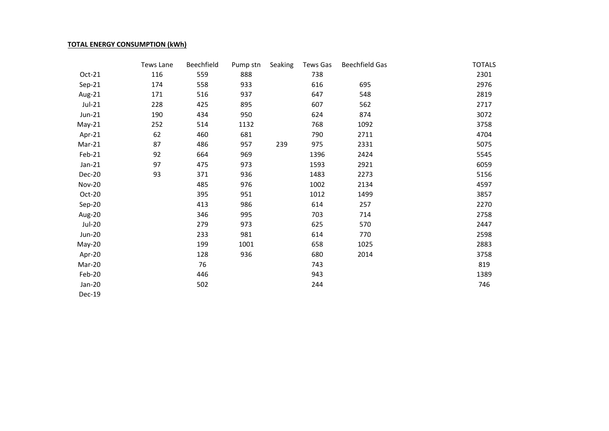#### **TOTAL ENERGY CONSUMPTION (kWh)**

|               | Tews Lane | Beechfield | Pump stn | Seaking | Tews Gas | <b>Beechfield Gas</b> | <b>TOTALS</b> |
|---------------|-----------|------------|----------|---------|----------|-----------------------|---------------|
| Oct-21        | 116       | 559        | 888      |         | 738      |                       | 2301          |
| Sep-21        | 174       | 558        | 933      |         | 616      | 695                   | 2976          |
| Aug-21        | 171       | 516        | 937      |         | 647      | 548                   | 2819          |
| Jul-21        | 228       | 425        | 895      |         | 607      | 562                   | 2717          |
| $Jun-21$      | 190       | 434        | 950      |         | 624      | 874                   | 3072          |
| $May-21$      | 252       | 514        | 1132     |         | 768      | 1092                  | 3758          |
| Apr-21        | 62        | 460        | 681      |         | 790      | 2711                  | 4704          |
| Mar-21        | 87        | 486        | 957      | 239     | 975      | 2331                  | 5075          |
| Feb-21        | 92        | 664        | 969      |         | 1396     | 2424                  | 5545          |
| $Jan-21$      | 97        | 475        | 973      |         | 1593     | 2921                  | 6059          |
| <b>Dec-20</b> | 93        | 371        | 936      |         | 1483     | 2273                  | 5156          |
| <b>Nov-20</b> |           | 485        | 976      |         | 1002     | 2134                  | 4597          |
| Oct-20        |           | 395        | 951      |         | 1012     | 1499                  | 3857          |
| Sep-20        |           | 413        | 986      |         | 614      | 257                   | 2270          |
| Aug-20        |           | 346        | 995      |         | 703      | 714                   | 2758          |
| <b>Jul-20</b> |           | 279        | 973      |         | 625      | 570                   | 2447          |
| <b>Jun-20</b> |           | 233        | 981      |         | 614      | 770                   | 2598          |
| May-20        |           | 199        | 1001     |         | 658      | 1025                  | 2883          |
| Apr-20        |           | 128        | 936      |         | 680      | 2014                  | 3758          |
| Mar-20        |           | 76         |          |         | 743      |                       | 819           |
| Feb-20        |           | 446        |          |         | 943      |                       | 1389          |
| Jan-20        |           | 502        |          |         | 244      |                       | 746           |
| Dec-19        |           |            |          |         |          |                       |               |